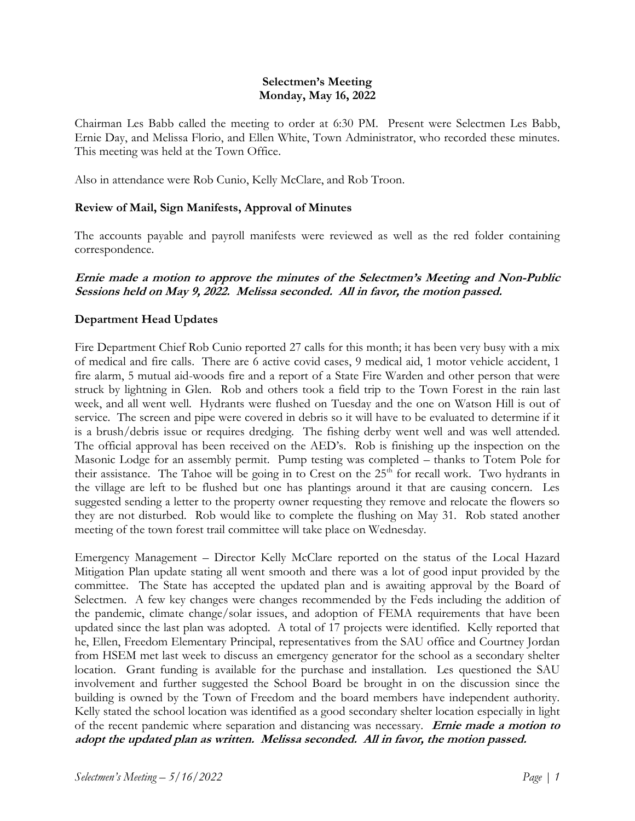## **Selectmen's Meeting Monday, May 16, 2022**

Chairman Les Babb called the meeting to order at 6:30 PM. Present were Selectmen Les Babb, Ernie Day, and Melissa Florio, and Ellen White, Town Administrator, who recorded these minutes. This meeting was held at the Town Office.

Also in attendance were Rob Cunio, Kelly McClare, and Rob Troon.

## **Review of Mail, Sign Manifests, Approval of Minutes**

The accounts payable and payroll manifests were reviewed as well as the red folder containing correspondence.

## **Ernie made a motion to approve the minutes of the Selectmen's Meeting and Non-Public Sessions held on May 9, 2022. Melissa seconded. All in favor, the motion passed.**

# **Department Head Updates**

Fire Department Chief Rob Cunio reported 27 calls for this month; it has been very busy with a mix of medical and fire calls. There are 6 active covid cases, 9 medical aid, 1 motor vehicle accident, 1 fire alarm, 5 mutual aid-woods fire and a report of a State Fire Warden and other person that were struck by lightning in Glen. Rob and others took a field trip to the Town Forest in the rain last week, and all went well. Hydrants were flushed on Tuesday and the one on Watson Hill is out of service. The screen and pipe were covered in debris so it will have to be evaluated to determine if it is a brush/debris issue or requires dredging. The fishing derby went well and was well attended. The official approval has been received on the AED's. Rob is finishing up the inspection on the Masonic Lodge for an assembly permit. Pump testing was completed – thanks to Totem Pole for their assistance. The Tahoe will be going in to Crest on the  $25<sup>th</sup>$  for recall work. Two hydrants in the village are left to be flushed but one has plantings around it that are causing concern. Les suggested sending a letter to the property owner requesting they remove and relocate the flowers so they are not disturbed. Rob would like to complete the flushing on May 31. Rob stated another meeting of the town forest trail committee will take place on Wednesday.

Emergency Management – Director Kelly McClare reported on the status of the Local Hazard Mitigation Plan update stating all went smooth and there was a lot of good input provided by the committee. The State has accepted the updated plan and is awaiting approval by the Board of Selectmen. A few key changes were changes recommended by the Feds including the addition of the pandemic, climate change/solar issues, and adoption of FEMA requirements that have been updated since the last plan was adopted. A total of 17 projects were identified. Kelly reported that he, Ellen, Freedom Elementary Principal, representatives from the SAU office and Courtney Jordan from HSEM met last week to discuss an emergency generator for the school as a secondary shelter location. Grant funding is available for the purchase and installation. Les questioned the SAU involvement and further suggested the School Board be brought in on the discussion since the building is owned by the Town of Freedom and the board members have independent authority. Kelly stated the school location was identified as a good secondary shelter location especially in light of the recent pandemic where separation and distancing was necessary. **Ernie made a motion to adopt the updated plan as written. Melissa seconded. All in favor, the motion passed.**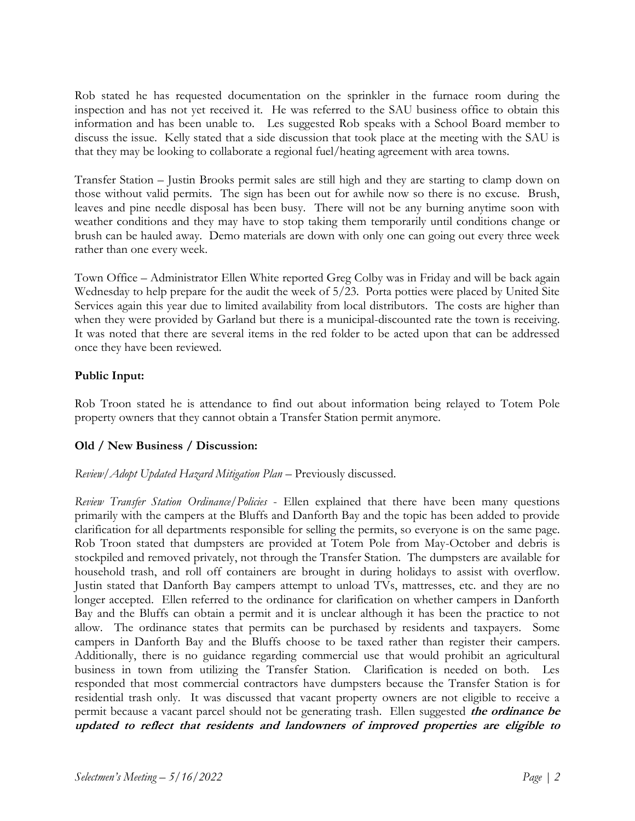Rob stated he has requested documentation on the sprinkler in the furnace room during the inspection and has not yet received it. He was referred to the SAU business office to obtain this information and has been unable to. Les suggested Rob speaks with a School Board member to discuss the issue. Kelly stated that a side discussion that took place at the meeting with the SAU is that they may be looking to collaborate a regional fuel/heating agreement with area towns.

Transfer Station – Justin Brooks permit sales are still high and they are starting to clamp down on those without valid permits. The sign has been out for awhile now so there is no excuse. Brush, leaves and pine needle disposal has been busy. There will not be any burning anytime soon with weather conditions and they may have to stop taking them temporarily until conditions change or brush can be hauled away. Demo materials are down with only one can going out every three week rather than one every week.

Town Office – Administrator Ellen White reported Greg Colby was in Friday and will be back again Wednesday to help prepare for the audit the week of 5/23. Porta potties were placed by United Site Services again this year due to limited availability from local distributors. The costs are higher than when they were provided by Garland but there is a municipal-discounted rate the town is receiving. It was noted that there are several items in the red folder to be acted upon that can be addressed once they have been reviewed.

# **Public Input:**

Rob Troon stated he is attendance to find out about information being relayed to Totem Pole property owners that they cannot obtain a Transfer Station permit anymore.

## **Old / New Business / Discussion:**

## *Review/Adopt Updated Hazard Mitigation Plan* – Previously discussed.

*Review Transfer Station Ordinance/Policies* - Ellen explained that there have been many questions primarily with the campers at the Bluffs and Danforth Bay and the topic has been added to provide clarification for all departments responsible for selling the permits, so everyone is on the same page. Rob Troon stated that dumpsters are provided at Totem Pole from May-October and debris is stockpiled and removed privately, not through the Transfer Station. The dumpsters are available for household trash, and roll off containers are brought in during holidays to assist with overflow. Justin stated that Danforth Bay campers attempt to unload TVs, mattresses, etc. and they are no longer accepted. Ellen referred to the ordinance for clarification on whether campers in Danforth Bay and the Bluffs can obtain a permit and it is unclear although it has been the practice to not allow. The ordinance states that permits can be purchased by residents and taxpayers. Some campers in Danforth Bay and the Bluffs choose to be taxed rather than register their campers. Additionally, there is no guidance regarding commercial use that would prohibit an agricultural business in town from utilizing the Transfer Station. Clarification is needed on both. Les responded that most commercial contractors have dumpsters because the Transfer Station is for residential trash only. It was discussed that vacant property owners are not eligible to receive a permit because a vacant parcel should not be generating trash. Ellen suggested **the ordinance be updated to reflect that residents and landowners of improved properties are eligible to**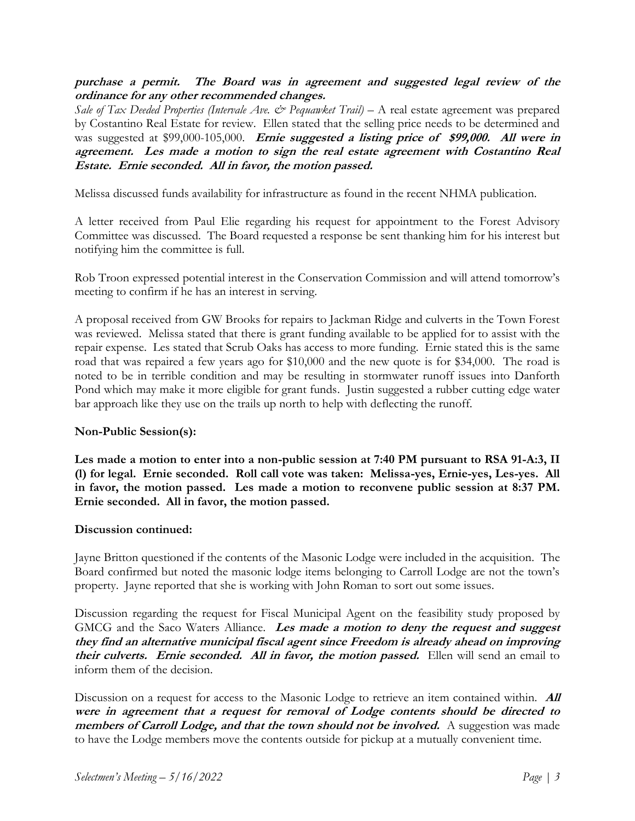**purchase a permit. The Board was in agreement and suggested legal review of the ordinance for any other recommended changes.**

*Sale of Tax Deeded Properties (Intervale Ave. & Pequawket Trail)* – A real estate agreement was prepared by Costantino Real Estate for review. Ellen stated that the selling price needs to be determined and was suggested at \$99,000-105,000. **Ernie suggested a listing price of \$99,000. All were in agreement. Les made a motion to sign the real estate agreement with Costantino Real Estate. Ernie seconded. All in favor, the motion passed.**

Melissa discussed funds availability for infrastructure as found in the recent NHMA publication.

A letter received from Paul Elie regarding his request for appointment to the Forest Advisory Committee was discussed. The Board requested a response be sent thanking him for his interest but notifying him the committee is full.

Rob Troon expressed potential interest in the Conservation Commission and will attend tomorrow's meeting to confirm if he has an interest in serving.

A proposal received from GW Brooks for repairs to Jackman Ridge and culverts in the Town Forest was reviewed. Melissa stated that there is grant funding available to be applied for to assist with the repair expense. Les stated that Scrub Oaks has access to more funding. Ernie stated this is the same road that was repaired a few years ago for \$10,000 and the new quote is for \$34,000. The road is noted to be in terrible condition and may be resulting in stormwater runoff issues into Danforth Pond which may make it more eligible for grant funds. Justin suggested a rubber cutting edge water bar approach like they use on the trails up north to help with deflecting the runoff.

## **Non-Public Session(s):**

**Les made a motion to enter into a non-public session at 7:40 PM pursuant to RSA 91-A:3, II (l) for legal. Ernie seconded. Roll call vote was taken: Melissa-yes, Ernie-yes, Les-yes. All in favor, the motion passed. Les made a motion to reconvene public session at 8:37 PM. Ernie seconded. All in favor, the motion passed.**

#### **Discussion continued:**

Jayne Britton questioned if the contents of the Masonic Lodge were included in the acquisition. The Board confirmed but noted the masonic lodge items belonging to Carroll Lodge are not the town's property. Jayne reported that she is working with John Roman to sort out some issues.

Discussion regarding the request for Fiscal Municipal Agent on the feasibility study proposed by GMCG and the Saco Waters Alliance. **Les made a motion to deny the request and suggest they find an alternative municipal fiscal agent since Freedom is already ahead on improving their culverts. Ernie seconded. All in favor, the motion passed.** Ellen will send an email to inform them of the decision.

Discussion on a request for access to the Masonic Lodge to retrieve an item contained within. **All were in agreement that a request for removal of Lodge contents should be directed to members of Carroll Lodge, and that the town should not be involved.** A suggestion was made to have the Lodge members move the contents outside for pickup at a mutually convenient time.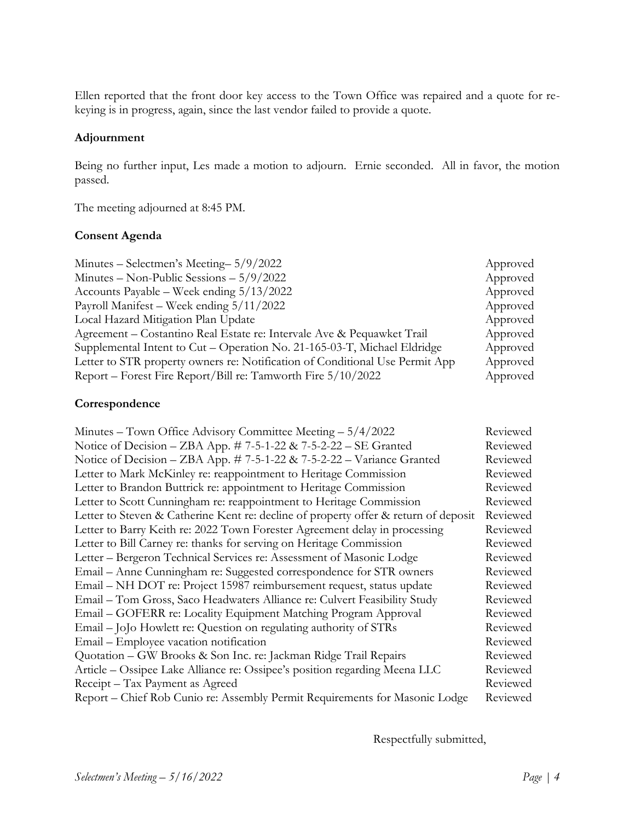Ellen reported that the front door key access to the Town Office was repaired and a quote for rekeying is in progress, again, since the last vendor failed to provide a quote.

#### **Adjournment**

Being no further input, Les made a motion to adjourn. Ernie seconded. All in favor, the motion passed.

The meeting adjourned at 8:45 PM.

#### **Consent Agenda**

| Minutes – Selectmen's Meeting – $5/9/2022$                                   | Approved |
|------------------------------------------------------------------------------|----------|
| Minutes – Non-Public Sessions – $5/9/2022$                                   | Approved |
| Accounts Payable – Week ending $5/13/2022$                                   | Approved |
| Payroll Manifest – Week ending $5/11/2022$                                   | Approved |
| Local Hazard Mitigation Plan Update                                          | Approved |
| Agreement – Costantino Real Estate re: Intervale Ave & Pequawket Trail       | Approved |
| Supplemental Intent to Cut - Operation No. 21-165-03-T, Michael Eldridge     | Approved |
| Letter to STR property owners re: Notification of Conditional Use Permit App | Approved |
| Report – Forest Fire Report/Bill re: Tamworth Fire $5/10/2022$               | Approved |

## **Correspondence**

| Minutes – Town Office Advisory Committee Meeting $-5/4/2022$                        | Reviewed |
|-------------------------------------------------------------------------------------|----------|
| Notice of Decision – ZBA App. $\#$ 7-5-1-22 & 7-5-2-22 – SE Granted                 | Reviewed |
| Notice of Decision - ZBA App. #7-5-1-22 & 7-5-2-22 - Variance Granted               | Reviewed |
| Letter to Mark McKinley re: reappointment to Heritage Commission                    | Reviewed |
| Letter to Brandon Buttrick re: appointment to Heritage Commission                   | Reviewed |
| Letter to Scott Cunningham re: reappointment to Heritage Commission                 | Reviewed |
| Letter to Steven & Catherine Kent re: decline of property offer & return of deposit | Reviewed |
| Letter to Barry Keith re: 2022 Town Forester Agreement delay in processing          | Reviewed |
| Letter to Bill Carney re: thanks for serving on Heritage Commission                 | Reviewed |
| Letter - Bergeron Technical Services re: Assessment of Masonic Lodge                | Reviewed |
| Email – Anne Cunningham re: Suggested correspondence for STR owners                 | Reviewed |
| Email - NH DOT re: Project 15987 reimbursement request, status update               | Reviewed |
| Email - Tom Gross, Saco Headwaters Alliance re: Culvert Feasibility Study           | Reviewed |
| Email – GOFERR re: Locality Equipment Matching Program Approval                     | Reviewed |
| Email - JoJo Howlett re: Question on regulating authority of STRs                   | Reviewed |
| Email – Employee vacation notification                                              | Reviewed |
| Quotation - GW Brooks & Son Inc. re: Jackman Ridge Trail Repairs                    | Reviewed |
| Article - Ossipee Lake Alliance re: Ossipee's position regarding Meena LLC          | Reviewed |
| Receipt – Tax Payment as Agreed                                                     | Reviewed |
| Report – Chief Rob Cunio re: Assembly Permit Requirements for Masonic Lodge         | Reviewed |

Respectfully submitted,